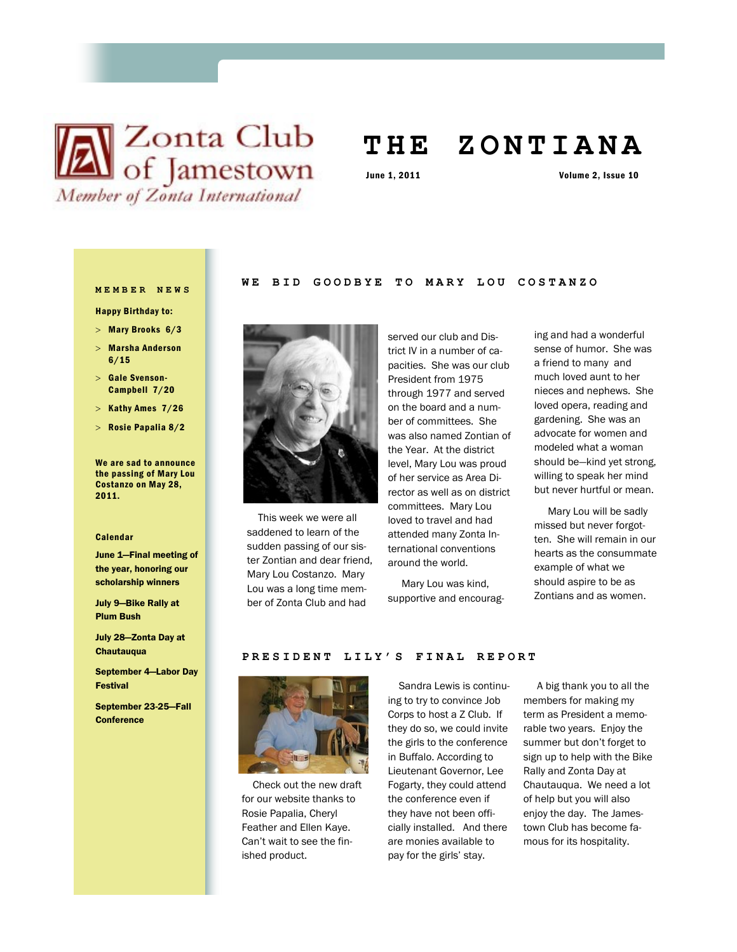

# **T H E Z O N T I A N A**

June 1, 2011 Volume 2, Issue 10

#### **MEMBER NEWS**

- Happy Birthday to:
- $>$  Mary Brooks  $6/3$
- Marsha Anderson 6/15
- > Gale Svenson-Campbell 7/20
- $>$  Kathy Ames  $7/26$
- Rosie Papalia 8/2

We are sad to announce the passing of Mary Lou Costanzo on May 28, 2011.

#### Calendar

June 1—Final meeting of the year, honoring our scholarship winners

July 9—Bike Rally at Plum Bush

July 28—Zonta Day at **Chautauqua** 

September 4—Labor Day Festival

September 23-25—Fall **Conference** 

# WE BID GOODBYE TO MARY LOU COSTANZO



 This week we were all saddened to learn of the sudden passing of our sister Zontian and dear friend, Mary Lou Costanzo. Mary Lou was a long time member of Zonta Club and had

served our club and District IV in a number of capacities. She was our club President from 1975 through 1977 and served on the board and a number of committees. She was also named Zontian of the Year. At the district level, Mary Lou was proud of her service as Area Director as well as on district committees. Mary Lou loved to travel and had attended many Zonta International conventions around the world.

 Mary Lou was kind, supportive and encourag-

ing and had a wonderful sense of humor. She was a friend to many and much loved aunt to her nieces and nephews. She loved opera, reading and gardening. She was an advocate for women and modeled what a woman should be—kind yet strong, willing to speak her mind but never hurtful or mean.

 Mary Lou will be sadly missed but never forgotten. She will remain in our hearts as the consummate example of what we should aspire to be as Zontians and as women.

#### PRESIDENT LILY'S FINAL REPORT



 Check out the new draft for our website thanks to Rosie Papalia, Cheryl Feather and Ellen Kaye. Can't wait to see the finished product.

 Sandra Lewis is continuing to try to convince Job Corps to host a Z Club. If they do so, we could invite the girls to the conference in Buffalo. According to Lieutenant Governor, Lee Fogarty, they could attend the conference even if they have not been officially installed. And there are monies available to pay for the girls' stay.

 A big thank you to all the members for making my term as President a memorable two years. Enjoy the summer but don't forget to sign up to help with the Bike Rally and Zonta Day at Chautauqua. We need a lot of help but you will also enjoy the day. The Jamestown Club has become famous for its hospitality.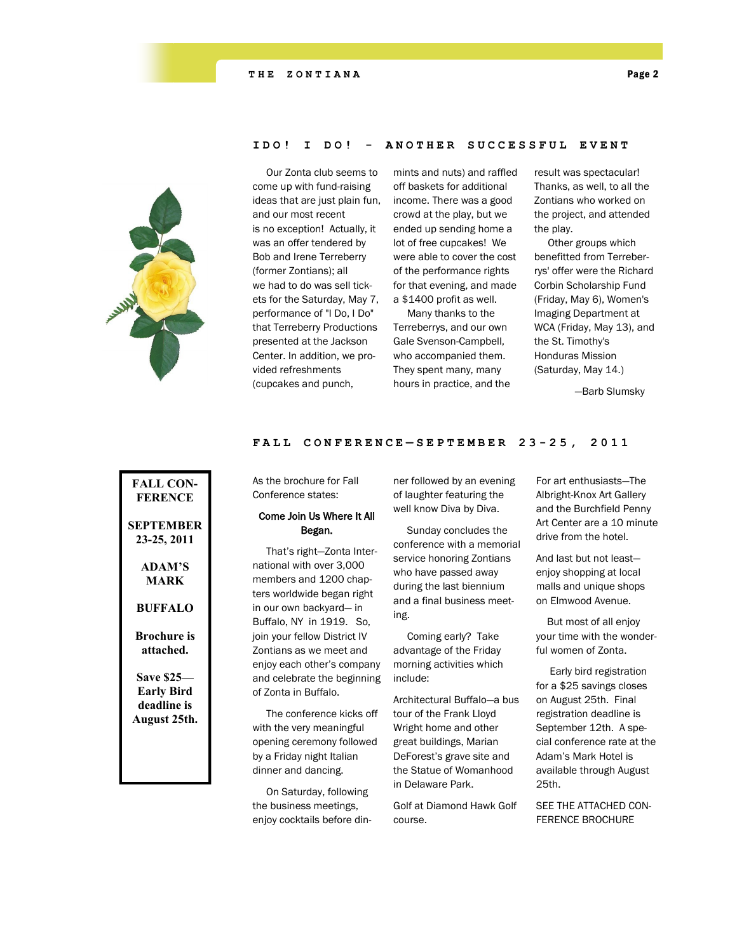

# **IDO! I DO! - A N O T H E R S U C C E S S F U L E V E N T**

 Our Zonta club seems to come up with fund-raising ideas that are just plain fun, and our most recent is no exception! Actually, it was an offer tendered by Bob and Irene Terreberry (former Zontians); all we had to do was sell tickets for the Saturday, May 7, performance of "I Do, I Do" that Terreberry Productions presented at the Jackson Center. In addition, we provided refreshments (cupcakes and punch,

mints and nuts) and raffled off baskets for additional income. There was a good crowd at the play, but we ended up sending home a lot of free cupcakes! We were able to cover the cost of the performance rights for that evening, and made a \$1400 profit as well.

 Many thanks to the Terreberrys, and our own Gale Svenson-Campbell, who accompanied them. They spent many, many hours in practice, and the result was spectacular! Thanks, as well, to all the Zontians who worked on the project, and attended the play.

 Other groups which benefitted from Terreberrys' offer were the Richard Corbin Scholarship Fund (Friday, May 6), Women's Imaging Department at WCA (Friday, May 13), and the St. Timothy's Honduras Mission (Saturday, May 14.)

—Barb Slumsky

#### **FALL CONFERENCE — SEPT E M B E R 2 3 - 25, 2011**

**FALL CON-FERENCE SEPTEMBER 23-25, 2011 ADAM'S MARK BUFFALO Brochure is attached. Save \$25— Early Bird deadline is August 25th.**

As the brochure for Fall Conference states:

# Come Join Us Where It All Began.

 That's right—Zonta International with over 3,000 members and 1200 chapters worldwide began right in our own backyard— in Buffalo, NY in 1919. So, join your fellow District IV Zontians as we meet and enjoy each other's company and celebrate the beginning of Zonta in Buffalo.

 The conference kicks off with the very meaningful opening ceremony followed by a Friday night Italian dinner and dancing.

 On Saturday, following the business meetings, enjoy cocktails before dinner followed by an evening of laughter featuring the well know Diva by Diva.

 Sunday concludes the conference with a memorial service honoring Zontians who have passed away during the last biennium and a final business meeting.

 Coming early? Take advantage of the Friday morning activities which include:

Architectural Buffalo—a bus tour of the Frank Lloyd Wright home and other great buildings, Marian DeForest's grave site and the Statue of Womanhood in Delaware Park.

Golf at Diamond Hawk Golf course.

For art enthusiasts—The Albright-Knox Art Gallery and the Burchfield Penny Art Center are a 10 minute drive from the hotel.

And last but not least enjoy shopping at local malls and unique shops on Elmwood Avenue.

 But most of all enjoy your time with the wonderful women of Zonta.

 Early bird registration for a \$25 savings closes on August 25th. Final registration deadline is September 12th. A special conference rate at the Adam's Mark Hotel is available through August 25th.

SEE THE ATTACHED CON-FERENCE BROCHURE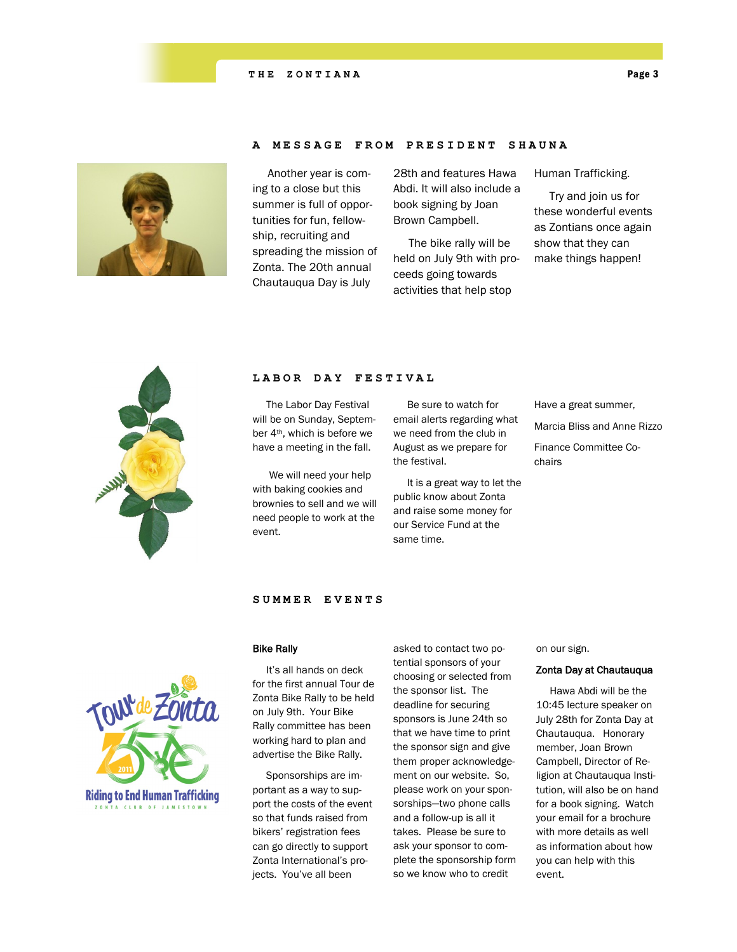



## **A MESSAGE FROM PRESI D E N T S H A U N A**

 Another year is coming to a close but this summer is full of opportunities for fun, fellowship, recruiting and spreading the mission of Zonta. The 20th annual Chautauqua Day is July

28th and features Hawa Abdi. It will also include a book signing by Joan Brown Campbell.

 The bike rally will be held on July 9th with proceeds going towards activities that help stop

Human Trafficking.

 Try and join us for these wonderful events as Zontians once again show that they can make things happen!



#### **LABOR DAY FESTIVAL**

 The Labor Day Festival will be on Sunday, September 4th, which is before we have a meeting in the fall.

 We will need your help with baking cookies and brownies to sell and we will need people to work at the event.

 Be sure to watch for email alerts regarding what we need from the club in August as we prepare for the festival.

 It is a great way to let the public know about Zonta and raise some money for our Service Fund at the same time.

Have a great summer, Marcia Bliss and Anne Rizzo

Finance Committee Cochairs



# **SUMMER EVENTS**

# Bike Rally

 It's all hands on deck for the first annual Tour de Zonta Bike Rally to be held on July 9th. Your Bike Rally committee has been working hard to plan and advertise the Bike Rally.

 Sponsorships are important as a way to support the costs of the event so that funds raised from bikers' registration fees can go directly to support Zonta International's projects. You've all been

asked to contact two potential sponsors of your choosing or selected from the sponsor list. The deadline for securing sponsors is June 24th so that we have time to print the sponsor sign and give them proper acknowledgement on our website. So, please work on your sponsorships—two phone calls and a follow-up is all it takes. Please be sure to ask your sponsor to complete the sponsorship form so we know who to credit

on our sign.

## Zonta Day at Chautauqua

 Hawa Abdi will be the 10:45 lecture speaker on July 28th for Zonta Day at Chautauqua. Honorary member, Joan Brown Campbell, Director of Religion at Chautauqua Institution, will also be on hand for a book signing. Watch your email for a brochure with more details as well as information about how you can help with this event.